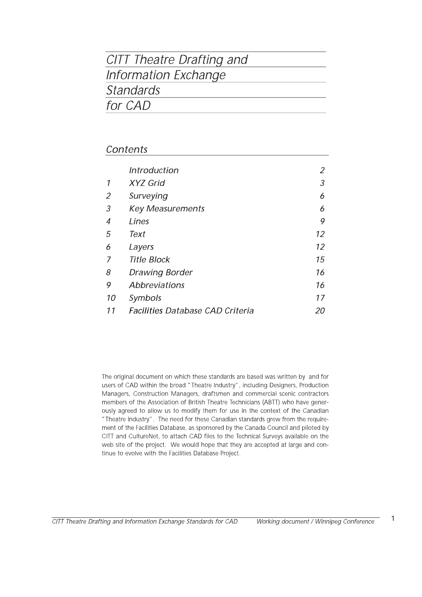# CITT Theatre Drafting and Information Exchange **Standards** for CAD

### Contents

|    | <i>Introduction</i>                     |    |
|----|-----------------------------------------|----|
| 1  | <b>XYZ Grid</b>                         | 3  |
| 2  | Surveying                               | 6  |
| 3  | <b>Key Measurements</b>                 | 6  |
| 4  | Lines                                   | 9  |
| 5  | Text                                    | 12 |
| 6  | Layers                                  | 12 |
| 7  | <b>Title Block</b>                      | 15 |
| 8  | <b>Drawing Border</b>                   | 16 |
| 9  | Abbreviations                           | 16 |
| 10 | Symbols                                 | 17 |
| 11 | <b>Facilities Database CAD Criteria</b> | 20 |

The original document on which these standards are based was written by and for users of CAD within the broad "Theatre Industry", including Designers, Production Managers, Construction Managers, draftsmen and commercial scenic contractors members of the Association of British Theatre Technicians (ABTT) who have generously agreed to allow us to modify them for use in the context of the Canadian "Theatre Industry". The need for these Canadian standards grew from the requirement of the Facilities Database, as sponsored by the Canada Council and piloted by CITT and CultureNet, to attach CAD files to the Technical Surveys available on the web site of the project. We would hope that they are accepted at large and continue to evolve with the Facilities Database Project.

 $\mathbf{1}$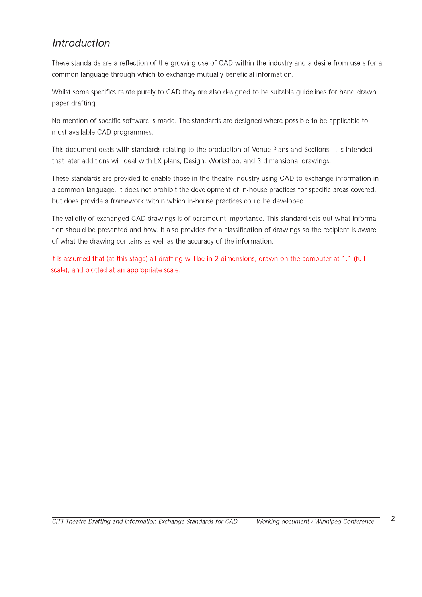### **Introduction**

These standards are a reflection of the growing use of CAD within the industry and a desire from users for a common language through which to exchange mutually beneficial information.

Whilst some specifics relate purely to CAD they are also designed to be suitable quidelines for hand drawn paper drafting.

No mention of specific software is made. The standards are designed where possible to be applicable to most available CAD programmes.

This document deals with standards relating to the production of Venue Plans and Sections. It is intended that later additions will deal with LX plans, Design, Workshop, and 3 dimensional drawings.

These standards are provided to enable those in the theatre industry using CAD to exchange information in a common language. It does not prohibit the development of in-house practices for specific areas covered, but does provide a framework within which in-house practices could be developed.

The validity of exchanged CAD drawings is of paramount importance. This standard sets out what information should be presented and how. It also provides for a classification of drawings so the recipient is aware of what the drawing contains as well as the accuracy of the information.

It is assumed that (at this stage) all drafting will be in 2 dimensions, drawn on the computer at 1:1 (full scale), and plotted at an appropriate scale.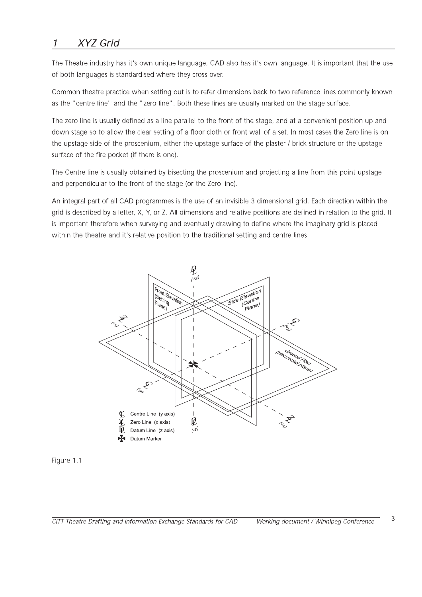### $\boldsymbol{\mathcal{I}}$ **XYZ Grid**

The Theatre industry has it's own unique language, CAD also has it's own language. It is important that the use of both languages is standardised where they cross over.

Common theatre practice when setting out is to refer dimensions back to two reference lines commonly known as the "centre line" and the "zero line". Both these lines are usually marked on the stage surface.

The zero line is usually defined as a line parallel to the front of the stage, and at a convenient position up and down stage so to allow the clear setting of a floor cloth or front wall of a set. In most cases the Zero line is on the upstage side of the proscenium, either the upstage surface of the plaster / brick structure or the upstage surface of the fire pocket (if there is one).

The Centre line is usually obtained by bisecting the proscenium and projecting a line from this point upstage and perpendicular to the front of the stage (or the Zero line).

An integral part of all CAD programmes is the use of an invisible 3 dimensional grid. Each direction within the grid is described by a letter, X, Y, or Z. All dimensions and relative positions are defined in relation to the grid. It is important therefore when surveying and eventually drawing to define where the imaginary grid is placed within the theatre and it's relative position to the traditional setting and centre lines.



Figure 1.1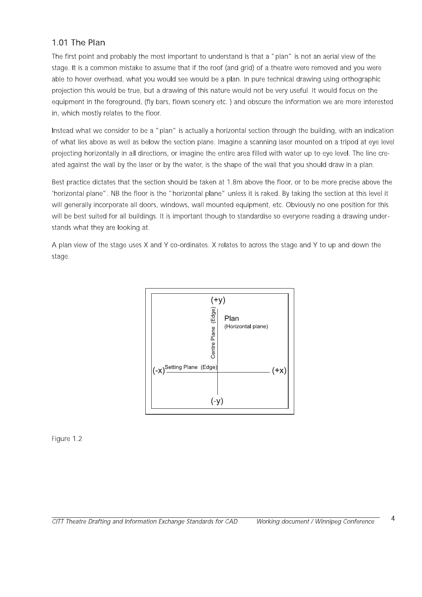### 1.01 The Plan

The first point and probably the most important to understand is that a "plan" is not an aerial view of the stage. It is a common mistake to assume that if the roof (and grid) of a theatre were removed and you were able to hover overhead, what you would see would be a plan. In pure technical drawing using orthographic projection this would be true, but a drawing of this nature would not be very useful. It would focus on the equipment in the foreground, (fly bars, flown scenery etc.) and obscure the information we are more interested in, which mostly relates to the floor.

Instead what we consider to be a "plan" is actually a horizontal section through the building, with an indication of what lies above as well as below the section plane. Imagine a scanning laser mounted on a tripod at eye level projecting horizontally in all directions, or imagine the entire area filled with water up to eye level. The line created against the wall by the laser or by the water, is the shape of the wall that you should draw in a plan.

Best practice dictates that the section should be taken at 1.8m above the floor, or to be more precise above the 'horizontal plane". NB the floor is the "horizontal plane" unless it is raked. By taking the section at this level it will generally incorporate all doors, windows, wall mounted equipment, etc. Obviously no one position for this will be best suited for all buildings. It is important though to standardise so everyone reading a drawing understands what they are looking at.

A plan view of the stage uses X and Y co-ordinates. X relates to across the stage and Y to up and down the stage.



Figure 1.2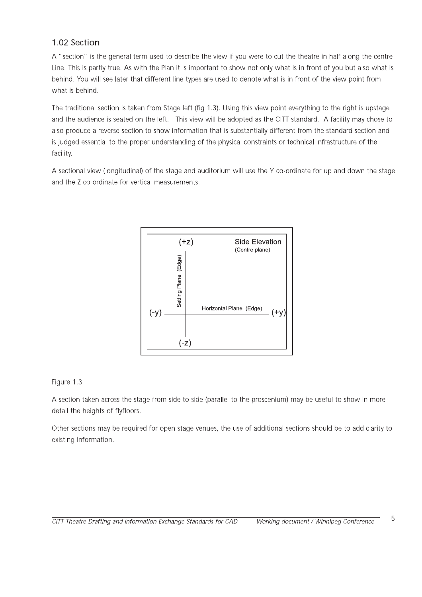### 1.02 Section

A "section" is the general term used to describe the view if you were to cut the theatre in half along the centre Line. This is partly true. As with the Plan it is important to show not only what is in front of you but also what is behind. You will see later that different line types are used to denote what is in front of the view point from what is behind.

The traditional section is taken from Stage left (fig 1.3). Using this view point everything to the right is upstage and the audience is seated on the left. This view will be adopted as the CITT standard. A facility may chose to also produce a reverse section to show information that is substantially different from the standard section and is judged essential to the proper understanding of the physical constraints or technical infrastructure of the facility.

A sectional view (longitudinal) of the stage and auditorium will use the Y co-ordinate for up and down the stage and the Z co-ordinate for vertical measurements.



### Figure 1.3

A section taken across the stage from side to side (parallel to the proscenium) may be useful to show in more detail the heights of flyfloors.

Other sections may be required for open stage venues, the use of additional sections should be to add clarity to existing information.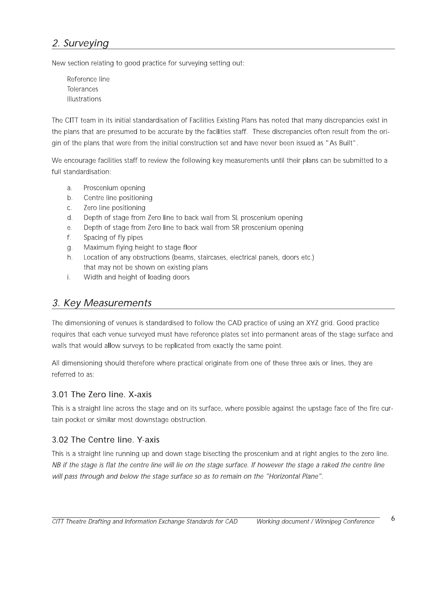### 2. Surveying

New section relating to good practice for surveying setting out:

Reference line Tolerances **Illustrations** 

The CITT team in its initial standardisation of Facilities Existing Plans has noted that many discrepancies exist in the plans that are presumed to be accurate by the facilities staff. These discrepancies often result from the origin of the plans that were from the initial construction set and have never been issued as "As Built".

We encourage facilities staff to review the following key measurements until their plans can be submitted to a full standardisation:

- Proscenium opening  $\mathsf{a}$ .
- Centre line positioning  $b.$
- Zero line positioning  $C.$
- $d.$ Depth of stage from Zero line to back wall from SL proscenium opening
- e. Depth of stage from Zero line to back wall from SR proscenium opening
- Spacing of fly pipes f.
- Maximum flying height to stage floor g.
- Location of any obstructions (beams, staircases, electrical panels, doors etc.)  $h<sub>1</sub>$ that may not be shown on existing plans
- Width and height of loading doors  $\mathbf{i}$ .

### 3. Key Measurements

The dimensioning of venues is standardised to follow the CAD practice of using an XYZ grid. Good practice requires that each venue surveyed must have reference plates set into permanent areas of the stage surface and walls that would allow surveys to be replicated from exactly the same point.

All dimensioning should therefore where practical originate from one of these three axis or lines, they are referred to as:

### 3.01 The Zero line, X-axis

This is a straight line across the stage and on its surface, where possible against the upstage face of the fire curtain pocket or similar most downstage obstruction.

### 3.02 The Centre line. Y-axis

This is a straight line running up and down stage bisecting the proscenium and at right angles to the zero line. NB if the stage is flat the centre line will lie on the stage surface. If however the stage a raked the centre line will pass through and below the stage surface so as to remain on the "Horizontal Plane".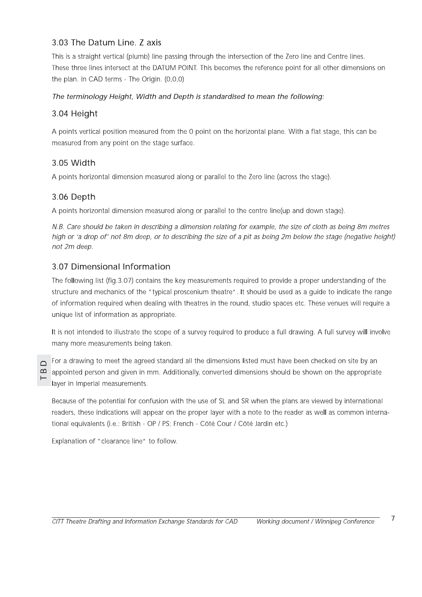### 3.03 The Datum Line. Z axis

This is a straight vertical (plumb) line passing through the intersection of the Zero line and Centre lines. These three lines intersect at the DATUM POINT. This becomes the reference point for all other dimensions on the plan. In CAD terms - The Origin. (0,0,0)

### The terminology Height, Width and Depth is standardised to mean the following:

### 3.04 Height

A points vertical position measured from the 0 point on the horizontal plane. With a flat stage, this can be measured from any point on the stage surface.

### 3.05 Width

A points horizontal dimension measured along or parallel to the Zero line (across the stage).

### 3.06 Depth

A points horizontal dimension measured along or parallel to the centre line(up and down stage).

N.B. Care should be taken in describing a dimension relating for example, the size of cloth as being 8m metres high or 'a drop of' not 8m deep, or to describing the size of a pit as being 2m below the stage (negative height) not 2m deep.

### 3.07 Dimensional Information

The following list (fig. 3.07) contains the key measurements required to provide a proper understanding of the structure and mechanics of the "typical proscenium theatre". It should be used as a guide to indicate the range of information required when dealing with theatres in the round, studio spaces etc. These venues will require a unique list of information as appropriate.

It is not intended to illustrate the scope of a survey required to produce a full drawing. A full survey will involve many more measurements being taken.

 $\Box$  $\sim$ 

For a drawing to meet the agreed standard all the dimensions listed must have been checked on site by an appointed person and given in mm. Additionally, converted dimensions should be shown on the appropriate layer in Imperial measurements.

Because of the potential for confusion with the use of SL and SR when the plans are viewed by international readers, these indications will appear on the proper layer with a note to the reader as well as common international equivalents (i.e.: British - OP / PS: French - Côté Cour / Côté Jardin etc.)

Explanation of "clearance line" to follow.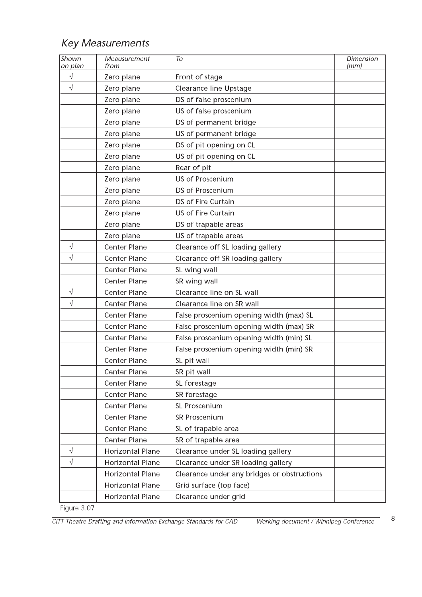|                         | <b>Key Measurements</b> |                                             |                   |
|-------------------------|-------------------------|---------------------------------------------|-------------------|
| <b>Shown</b><br>on plan | Meausurement<br>from    | To                                          | Dimension<br>(mm) |
| $\sqrt{}$               | Zero plane              | Front of stage                              |                   |
| $\sqrt{}$               | Zero plane              | <b>Clearance line Upstage</b>               |                   |
|                         | Zero plane              | DS of false proscenium                      |                   |
|                         | Zero plane              | US of false proscenium                      |                   |
|                         | Zero plane              | DS of permanent bridge                      |                   |
|                         | Zero plane              | US of permanent bridge                      |                   |
|                         | Zero plane              | DS of pit opening on CL                     |                   |
|                         | Zero plane              | US of pit opening on CL                     |                   |
|                         | Zero plane              | Rear of pit                                 |                   |
|                         | Zero plane              | US of Proscenium                            |                   |
|                         | Zero plane              | DS of Proscenium                            |                   |
|                         | Zero plane              | DS of Fire Curtain                          |                   |
|                         | Zero plane              | US of Fire Curtain                          |                   |
|                         | Zero plane              | DS of trapable areas                        |                   |
|                         | Zero plane              | US of trapable areas                        |                   |
| V                       | Center Plane            | Clearance off SL loading gallery            |                   |
|                         | Center Plane            | Clearance off SR loading gallery            |                   |
|                         | Center Plane            | SL wing wall                                |                   |
|                         | <b>Center Plane</b>     | SR wing wall                                |                   |
| $\sqrt{}$               | Center Plane            | Clearance line on SL wall                   |                   |
| $\sqrt{}$               | Center Plane            | Clearance line on SR wall                   |                   |
|                         | Center Plane            | False proscenium opening width (max) SL     |                   |
|                         | Center Plane            | False proscenium opening width (max) SR     |                   |
|                         | Center Plane            | False proscenium opening width (min) SL     |                   |
|                         | Center Plane            | False proscenium opening width (min) SR     |                   |
|                         | Center Plane            | SL pit wall                                 |                   |
|                         | Center Plane            | SR pit wall                                 |                   |
|                         | Center Plane            | SL forestage                                |                   |
|                         | Center Plane            | SR forestage                                |                   |
|                         | Center Plane            | SL Proscenium                               |                   |
|                         | Center Plane            | SR Proscenium                               |                   |
|                         | Center Plane            | SL of trapable area                         |                   |
|                         | Center Plane            | SR of trapable area                         |                   |
| $\sqrt{}$               | <b>Horizontal Plane</b> | Clearance under SL loading gallery          |                   |
| $\sqrt{}$               | Horizontal Plane        | Clearance under SR loading gallery          |                   |
|                         | Horizontal Plane        | Clearance under any bridges or obstructions |                   |
|                         | Horizontal Plane        | Grid surface (top face)                     |                   |
|                         | Horizontal Plane        | Clearance under grid                        |                   |

Figure  $3.07$ 

CITT Theatre Drafting and Information Exchange Standards for For CAD Working document / Winnipeg Conference 8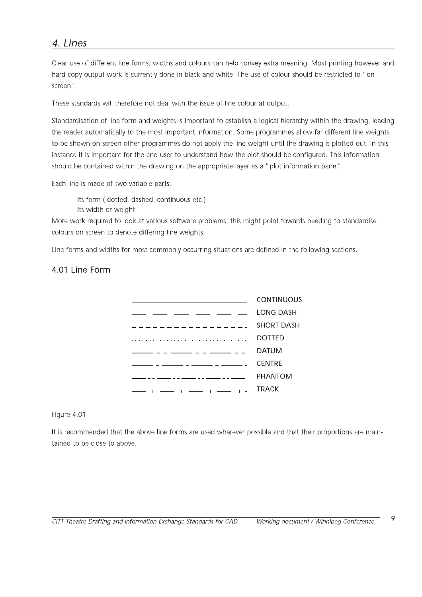### 4. Lines

Clear use of different line forms, widths and colours can help convey extra meaning. Most printing however and hard-copy output work is currently done in black and white. The use of colour should be restricted to "on screen".

These standards will therefore not deal with the issue of line colour at output.

Standardisation of line form and weights is important to establish a logical hierarchy within the drawing, leading the reader automatically to the most important information. Some programmes allow far different line weights to be shown on screen other programmes do not apply the line weight until the drawing is plotted out. In this instance it is important for the end user to understand how the plot should be configured. This information should be contained within the drawing on the appropriate layer as a "plot information panel".

Each line is made of two variable parts:

Its form (dotted, dashed, continuous etc.)

Its width or weight.

More work required to look at various software problems, this might point towards needing to standardise colours on screen to denote differing line weights.

Line forms and widths for most commonly occurring situations are defined in the following sections.

### 4.01 Line Form



Figure 4.01

It is recommended that the above line forms are used wherever possible and that their proportions are maintained to be close to above.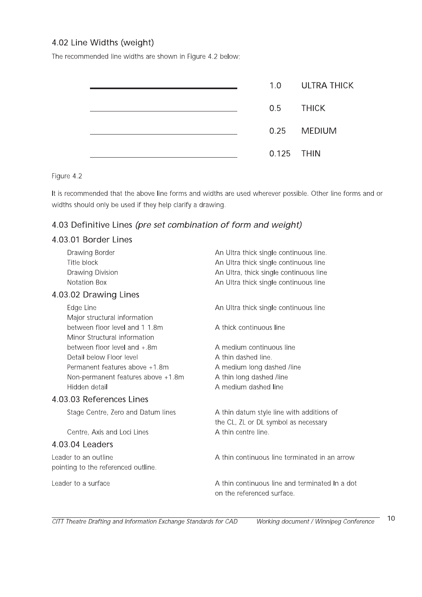### 4.02 Line Widths (weight)

The recommended line widths are shown in Figure 4.2 below;

|  |            | 1.0 ULTRA THICK |
|--|------------|-----------------|
|  | 0.5 THICK  |                 |
|  |            | 0.25 MEDIUM     |
|  | 0.125 THIN |                 |

Figure 4.2

It is recommended that the above line forms and widths are used wherever possible. Other line forms and or widths should only be used if they help clarify a drawing.

### 4.03 Definitive Lines (pre set combination of form and weight)

### 4.03.01 Border Lines

| Drawing Border                                                 | An Ultra thick single continuous line.                                            |  |
|----------------------------------------------------------------|-----------------------------------------------------------------------------------|--|
| Title block                                                    | An Ultra thick single continuous line                                             |  |
| Drawing Division                                               | An Ultra, thick single continuous line                                            |  |
| <b>Notation Box</b>                                            | An Ultra thick single continuous line                                             |  |
| 4.03.02 Drawing Lines                                          |                                                                                   |  |
| Edge Line<br>Major structural information                      | An Ultra thick single continuous line                                             |  |
| between floor level and 1 1.8m<br>Minor Structural information | A thick continuous line                                                           |  |
| between floor level and +.8m                                   | A medium continuous line                                                          |  |
| Detail below Floor level                                       | A thin dashed line.                                                               |  |
| Permanent features above +1.8m                                 | A medium long dashed /line                                                        |  |
| Non-permanent features above +1.8m                             | A thin long dashed /line                                                          |  |
| Hidden detail                                                  | A medium dashed line                                                              |  |
| 4.03.03 References Lines                                       |                                                                                   |  |
| Stage Centre, Zero and Datum lines                             | A thin datum style line with additions of<br>the CL, ZL or DL symbol as necessary |  |
| Centre, Axis and Loci Lines                                    | A thin centre line.                                                               |  |
| 4.03.04 Leaders                                                |                                                                                   |  |
| Leader to an outline                                           | A thin continuous line terminated in an arrow                                     |  |
| pointing to the referenced outline.                            |                                                                                   |  |
| Leader to a surface                                            | A thin continuous line and terminated In a dot<br>on the referenced surface.      |  |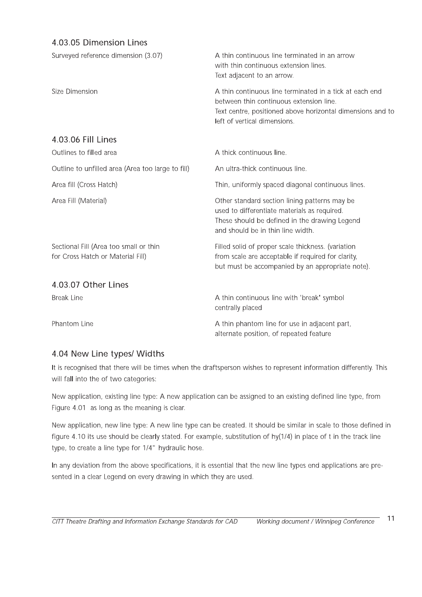### 4.03.05 Dimension Lines

| Surveyed reference dimension (3.07)                                         | A thin continuous line terminated in an arrow<br>with thin continuous extension lines.<br>Text adjacent to an arrow.                                                                             |
|-----------------------------------------------------------------------------|--------------------------------------------------------------------------------------------------------------------------------------------------------------------------------------------------|
| Size Dimension                                                              | A thin continuous line terminated in a tick at each end<br>between thin continuous extension line.<br>Text centre, positioned above horizontal dimensions and to<br>left of vertical dimensions. |
| 4.03.06 Fill Lines                                                          |                                                                                                                                                                                                  |
| Outlines to filled area                                                     | A thick continuous line.                                                                                                                                                                         |
| Outline to unfilled area (Area too large to fill)                           | An ultra-thick continuous line.                                                                                                                                                                  |
| Area fill (Cross Hatch)                                                     | Thin, uniformly spaced diagonal continuous lines.                                                                                                                                                |
| Area Fill (Material)                                                        | Other standard section lining patterns may be<br>used to differentiate materials as required.<br>These should be defined in the drawing Legend<br>and should be in thin line width.              |
| Sectional Fill (Area too small or thin<br>for Cross Hatch or Material Fill) | Filled solid of proper scale thickness. (variation<br>from scale are acceptable if required for clarity,<br>but must be accompanied by an appropriate note).                                     |
| 4.03.07 Other Lines                                                         |                                                                                                                                                                                                  |
| <b>Break Line</b>                                                           | A thin continuous line with 'break' symbol<br>centrally placed                                                                                                                                   |
| Phantom Line                                                                | A thin phantom line for use in adjacent part,<br>alternate position, of repeated feature                                                                                                         |

### 4.04 New Line types/ Widths

It is recognised that there will be times when the draftsperson wishes to represent information differently. This will fall into the of two categories:

New application, existing line type: A new application can be assigned to an existing defined line type, from Figure 4.01 as long as the meaning is clear.

New application, new line type: A new line type can be created. It should be similar in scale to those defined in figure 4.10 its use should be clearly stated. For example, substitution of hy(1/4) in place of t in the track line type, to create a line type for 1/4" hydraulic hose.

In any deviation from the above specifications, it is essential that the new line types end applications are presented in a clear Legend on every drawing in which they are used.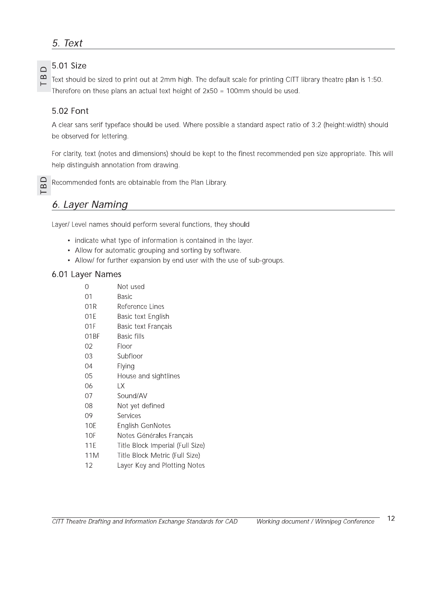### 5. Text

### 5.01 Size

Text should be sized to print out at 2mm high. The default scale for printing CITT library theatre plan is 1:50. Therefore on these plans an actual text height of 2x50 = 100mm should be used.

### 5.02 Font

A clear sans serif typeface should be used. Where possible a standard aspect ratio of 3:2 (height:width) should be observed for lettering.

For clarity, text (notes and dimensions) should be kept to the finest recommended pen size appropriate. This will help distinguish annotation from drawing.



 $\Box$  $\mathbf{\Omega}$ 

 $\vdash$ 

Recommended fonts are obtainable from the Plan Library.

### 6. Layer Naming

Layer/ Level names should perform several functions, they should

- indicate what type of information is contained in the layer.
- Allow for automatic grouping and sorting by software.
- Allow/ for further expansion by end user with the use of sub-groups.

### 6.01 Layer Names

| Not used                         |
|----------------------------------|
| Basic                            |
| Reference Lines                  |
| Basic text English               |
| Basic text Français              |
| <b>Basic fills</b>               |
| Floor                            |
| Subfloor                         |
| Flying                           |
| House and sightlines             |
| LХ                               |
| Sound/AV                         |
| Not yet defined                  |
| Services                         |
| English GenNotes                 |
| Notes Générales Français         |
| Title Block Imperial (Full Size) |
| Title Block Metric (Full Size)   |
| Layer Key and Plotting Notes     |
|                                  |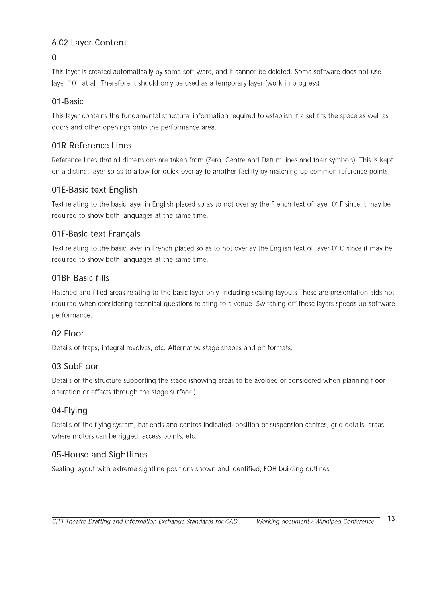## 6.02 Layer Content

### $\Omega$

6.02 Layer Content<br>
0<br>
This layer is created automatically by some soft ware, and it cannot be deleted. Some software does not use<br>
layer "0" at all. Therefore it should only be used as a temporary layer (work in progress)

O<br>
This layer is created automatically by some soft ware, and it cannot be deleted. Some software does not use<br>
layer "0" at all. Therefore it should only be used as a temporary layer (work in progress)<br>
O1-Basic<br>
This lay 01-Basic<br>This layer contains the fundamental structural information required to establish if a set fits the space as well as<br>doors and other openings onto the performance area.<br>The Reference lines hat all dimensions are ta 01R-Reference Lines<br>Reference lines that all dimensions are taken from (Zero, Centre and Datum lines and their symbols). This is kept<br>on a distinct layer so as to allow for quick overlay to another facility by matching up

**O1E-Basic text English**<br>Text relating to the basic layer in English placed so as to not overlay the French text of layer 01F since it may be<br>required to show both languages at the same time.<br>**O1F-Basic text Français**<br>Text 01F-Basic text Français<br>
Text relating to the basic layer in French placed so as to not overlay the English text of layer 01C since it may be<br>
required to show both languages at the same time.<br>
01BF-Basic fills<br>
Hatched an Hatched and filled areas relating to the basic layer only, including seating layouts These are<br>required when considering technical questions relating to a venue. Switching off these laye<br>performance.<br>02-Floor<br>Details of tr

performance.<br>
02-Floor<br>
Details of traps, integral revolves, etc. Alternative stage shapes and pit formats.<br>
03-SubFloor<br>
Details of the structure supporting the stage (showing areas to be avoided or considered when planni 03-SubFloor<br>Details of the structure supporting the stage (showing areas to be avoided or considered when planning floor<br>alteration or effects through the stage surface.)<br>04-Flying<br>Details of the flying system, bar ends an

04-Flying<br>Details of the flying system, bar ends and centres indicated, position or suspension centres, grid details, areas<br>where motors can be rigged. access points, etc.<br>05-House and Sightlines<br>Seating layout with extrem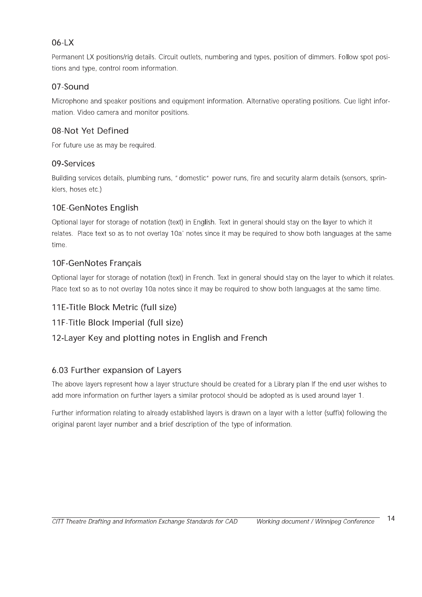### 06-LX

Permanent LX positions/rig details. Circuit outlets, numbering and types, position of dimmers. Follow spot positions and type, control room information.

### 07-Sound

Microphone and speaker positions and equipment information. Alternative operating positions. Cue light information. Video camera and monitor positions.

### 08-Not Yet Defined

For future use as may be required.

### 09-Services

Building services details, plumbing runs, "domestic" power runs, fire and security alarm details (sensors, sprinklers, hoses etc.)

### 10E-GenNotes English

Optional layer for storage of notation (text) in English. Text in general should stay on the layer to which it relates. Place text so as to not overlay 10a' notes since it may be required to show both languages at the same time.

### 10F-GenNotes Francais

Optional layer for storage of notation (text) in French. Text in general should stay on the layer to which it relates. Place text so as to not overlay 10a notes since it may be required to show both languages at the same time.

### 11E-Title Block Metric (full size)

### 11F-Title Block Imperial (full size)

### 12-Layer Key and plotting notes in English and French

### 6.03 Further expansion of Layers

The above layers represent how a layer structure should be created for a Library plan If the end user wishes to add more information on further layers a similar protocol should be adopted as is used around layer 1.

Further information relating to already established layers is drawn on a layer with a letter (suffix) following the original parent layer number and a brief description of the type of information.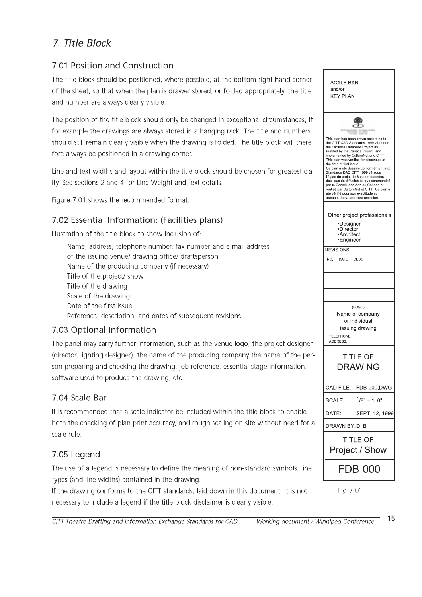### 7. Title Block

### 7.01 Position and Construction

The title block should be positioned, where possible, at the bottom right-hand corner of the sheet, so that when the plan is drawer stored, or folded appropriately, the title and number are always clearly visible.

The position of the title block should only be changed in exceptional circumstances, if for example the drawings are always stored in a hanging rack. The title and numbers should still remain clearly visible when the drawing is folded. The title block will therefore always be positioned in a drawing corner.

Line and text widths and layout within the title block should be chosen for greatest clarity. See sections 2 and 4 for Line Weight and Text details.

Figure 7.01 shows the recommended format.

### 7.02 Essential Information: (Facilities plans)

Illustration of the title block to show inclusion of:

Name, address, telephone number, fax number and e-mail address of the issuing venue/ drawing office/ draftsperson Name of the producing company (if necessary) Title of the project/ show Title of the drawing Scale of the drawing Date of the first issue Reference, description, and dates of subsequent revisions.

### 7.03 Optional Information

The panel may carry further information, such as the venue logo, the project designer (director, lighting designer), the name of the producing company the name of the person preparing and checking the drawing, job reference, essential stage information, software used to produce the drawing, etc.

### 7.04 Scale Bar

It is recommended that a scale indicator be included within the title block to enable both the checking of plan print accuracy, and rough scaling on site without need for a scale rule.

### 7.05 Legend

The use of a legend is necessary to define the meaning of non-standard symbols, line types (and line widths) contained in the drawing.

If the drawing conforms to the CITT standards, laid down in this document. It is not necessary to include a legend if the title block disclaimer is clearly visible.

SCALE BAR and/or **KEY PLAN** This plan has been drawn according to<br>the CITT CAD Standards 1999 v1 under<br>the Facilities Database Project as<br>Funded by the Canada Council and<br>implemented by CultureNet and CITT. This plan was verified for exactness a the time of first issue. .<br>Ce plan a été dessiné conformément aux Standards DAO CITT 1999 v1 sous Standards DAO CITT 1999 v1 sous<br>l'égide du projet de Base de données<br>des lieux de diffusion tel que commandité<br>par le Conseil des Arts du Canada et<br>réalisé par CultureNet et CITT. Ce plan a<br>été vérifié pour son exactitude Other project professionals •Designer<br>•Director -Architect<br>Engineer **REVISIONS** DATE | DESC  $NO<sub>1</sub>$ (LOGO) Name of company or individual issuing drawing TELEPHONE: ADDRESS **TITLE OF DRAWING** CAD FILE: FDB-000.DWG  $1/8" = 1'-0"$ SCALE: DATE: SEPT. 12, 1999 DRAWN BY: D. B. **TITLE OF** Project / Show **FDB-000** 

Fig 7.01

CITT Theatre Drafting and Information Exchange Standards for CAD Working document / Winnipeg Conference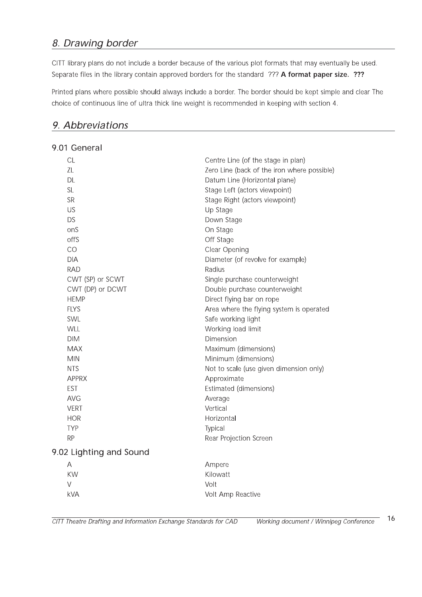### 8. Drawing border

CITT library plans do not include a border because of the various plot formats that may eventually be used. Separate files in the library contain approved borders for the standard ??? A format paper size. ???

Printed plans where possible should always include a border. The border should be kept simple and clear The choice of continuous line of ultra thick line weight is recommended in keeping with section 4.

### 9. Abbreviations

| 9.01 General            |                                             |  |  |
|-------------------------|---------------------------------------------|--|--|
| CL                      | Centre Line (of the stage in plan)          |  |  |
| ZL                      | Zero Line (back of the iron where possible) |  |  |
| DL                      | Datum Line (Horizontal plane)               |  |  |
| <b>SL</b>               | Stage Left (actors viewpoint)               |  |  |
| <b>SR</b>               | Stage Right (actors viewpoint)              |  |  |
| US                      | Up Stage                                    |  |  |
| <b>DS</b>               | Down Stage                                  |  |  |
| onS                     | On Stage                                    |  |  |
| offS                    | Off Stage                                   |  |  |
| CO                      | Clear Opening                               |  |  |
| <b>DIA</b>              | Diameter (of revolve for example)           |  |  |
| <b>RAD</b>              | Radius                                      |  |  |
| CWT (SP) or SCWT        | Single purchase counterweight               |  |  |
| CWT (DP) or DCWT        | Double purchase counterweight               |  |  |
| <b>HEMP</b>             | Direct flying bar on rope                   |  |  |
| <b>FLYS</b>             | Area where the flying system is operated    |  |  |
| SWL                     | Safe working light                          |  |  |
| WLL                     | Working load limit                          |  |  |
| <b>DIM</b>              | Dimension                                   |  |  |
| <b>MAX</b>              | Maximum (dimensions)                        |  |  |
| <b>MIN</b>              | Minimum (dimensions)                        |  |  |
| <b>NTS</b>              | Not to scale (use given dimension only)     |  |  |
| <b>APPRX</b>            | Approximate                                 |  |  |
| <b>EST</b>              | Estimated (dimensions)                      |  |  |
| <b>AVG</b>              | Average                                     |  |  |
| <b>VERT</b>             | Vertical                                    |  |  |
| <b>HOR</b>              | Horizontal                                  |  |  |
| <b>TYP</b>              | Typical                                     |  |  |
| <b>RP</b>               | Rear Projection Screen                      |  |  |
| 9.02 Lighting and Sound |                                             |  |  |
| Α                       | Ampere                                      |  |  |
| <b>KW</b>               | Kilowatt                                    |  |  |
| V                       | Volt                                        |  |  |
| <b>kVA</b>              | Volt Amp Reactive                           |  |  |
|                         |                                             |  |  |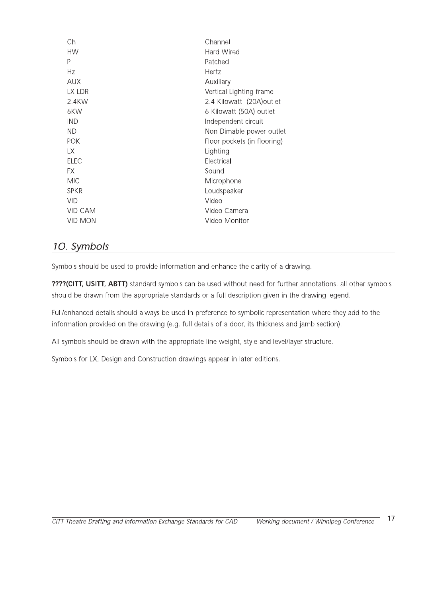| Ch          | Channel                     |
|-------------|-----------------------------|
| <b>HW</b>   | Hard Wired                  |
| P           | Patched                     |
| Hz          | Hertz                       |
| <b>AUX</b>  | Auxiliary                   |
| LX LDR      | Vertical Lighting frame     |
| 2.4KW       | 2.4 Kilowatt (20A) outlet   |
| 6KW         | 6 Kilowatt (50A) outlet     |
| <b>IND</b>  | Independent circuit         |
| <b>ND</b>   | Non Dimable power outlet    |
| <b>POK</b>  | Floor pockets (in flooring) |
| LХ          | Lighting                    |
| <b>ELEC</b> | Electrical                  |
| FX          | Sound                       |
| <b>MIC</b>  | Microphone                  |
| <b>SPKR</b> | Loudspeaker                 |
| <b>VID</b>  | Video                       |
| VID CAM     | Video Camera                |
| VID MON     | Video Monitor               |
|             |                             |

### 10. Symbols

Symbols should be used to provide information and enhance the clarity of a drawing.

????(CITT, USITT, ABTT) standard symbols can be used without need for further annotations. all other symbols should be drawn from the appropriate standards or a full description given in the drawing legend.

Full/enhanced details should always be used in preference to symbolic representation where they add to the information provided on the drawing (e.g. full details of a door, its thickness and jamb section).

All symbols should be drawn with the appropriate line weight, style and level/layer structure.

Symbols for LX, Design and Construction drawings appear in later editions.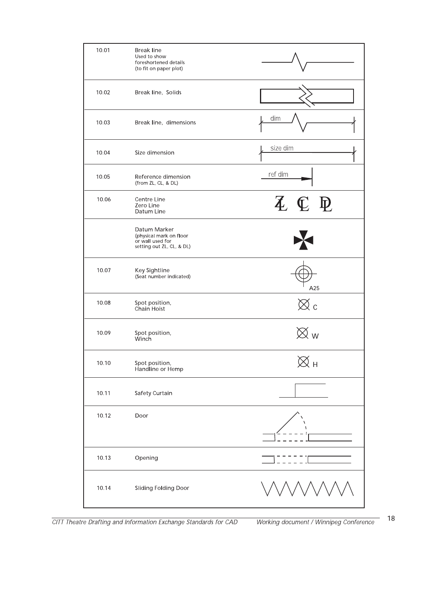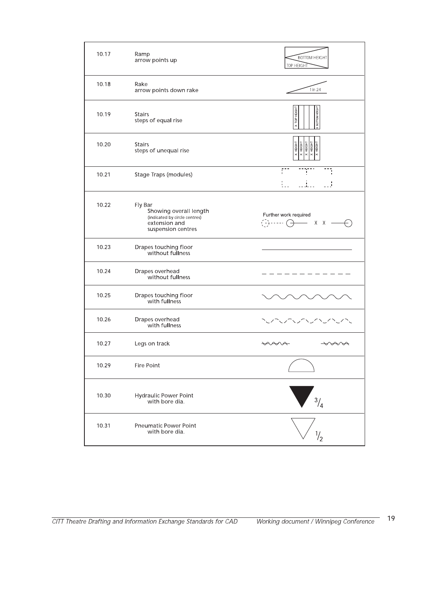| 10.17 | Ramp<br>arrow points up                                                                                   | <b>BOTTOM HEIGHT</b><br>TOP HEIGHT                                                                                                               |
|-------|-----------------------------------------------------------------------------------------------------------|--------------------------------------------------------------------------------------------------------------------------------------------------|
| 10.18 | Rake<br>arrow points down rake                                                                            | 1 in 24                                                                                                                                          |
| 10.19 | <b>Stairs</b><br>steps of equal rise                                                                      | TOP HEIGHT<br>BOTTOM HEIGH                                                                                                                       |
| 10.20 | <b>Stairs</b><br>steps of unequal rise                                                                    | $\begin{array}{r} \times \text{HEIGHT} \\ \hline \times \text{HEIGHT} \\ \hline \times \text{HEIGHT} \\ \hline \times \text{HEIGHT} \end{array}$ |
| 10.21 | Stage Traps (modules)                                                                                     | ŗ.<br>Ĩ,<br>$\blacksquare$<br>للمالي                                                                                                             |
| 10.22 | Fly Bar<br>Showing overall length<br>(indicated by circle centres)<br>extension and<br>suspension centres | Further work required<br>$\overbrace{(\cdot)} \cdot \cdot \cdot \cdot \cdot \rightarrow$<br>$X - X =$                                            |
| 10.23 | Drapes touching floor<br>without fullness                                                                 |                                                                                                                                                  |
| 10.24 | Drapes overhead<br>without fullness                                                                       |                                                                                                                                                  |
| 10.25 | Drapes touching floor<br>with fullness                                                                    |                                                                                                                                                  |
| 10.26 | Drapes overhead<br>with fullness                                                                          |                                                                                                                                                  |
| 10.27 | Legs on track                                                                                             | <del>v</del> va<br>∨≁∧                                                                                                                           |
| 10.29 | <b>Fire Point</b>                                                                                         |                                                                                                                                                  |
| 10.30 | Hydraulic Power Point<br>with bore dia.                                                                   | $\frac{3}{4}$                                                                                                                                    |
| 10.31 | Pneumatic Power Point<br>with bore dia.                                                                   | $\frac{1}{2}$                                                                                                                                    |